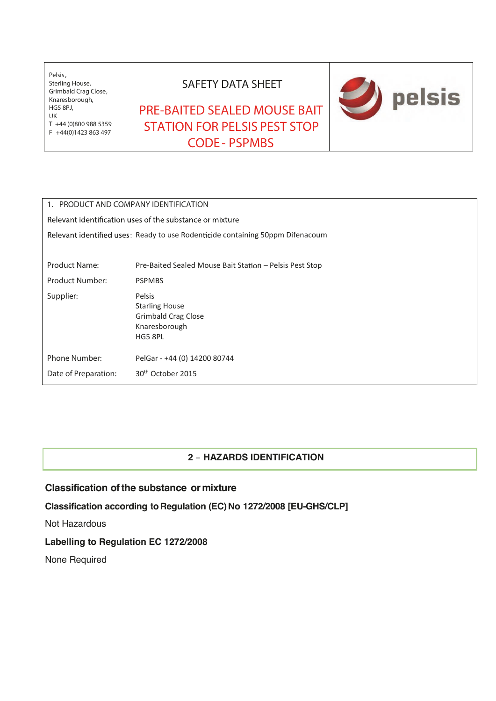Pelsis, Sterling House, Grimbald Crag Close, Knaresborough, HG5 8PJ, UK T +44 (0)800 988 5359 **F** +44(0)1423 863 497

## **SAFETY DATA SHEET**

## **PRE-BAITED SEALED MOUSE BAIT STATION FOR PELSIS PEST STOP CODE - PSPMBS**



| 1. PRODUCT AND COMPANY IDENTIFICATION                                          |                                                                                    |  |  |  |
|--------------------------------------------------------------------------------|------------------------------------------------------------------------------------|--|--|--|
| Relevant identification uses of the substance or mixture                       |                                                                                    |  |  |  |
| Relevant identified uses: Ready to use Rodenticide containing 50ppm Difenacoum |                                                                                    |  |  |  |
|                                                                                |                                                                                    |  |  |  |
| <b>Product Name:</b>                                                           | Pre-Baited Sealed Mouse Bait Station – Pelsis Pest Stop                            |  |  |  |
| <b>Product Number:</b>                                                         | <b>PSPMBS</b>                                                                      |  |  |  |
| Supplier:                                                                      | Pelsis<br><b>Starling House</b><br>Grimbald Crag Close<br>Knaresborough<br>HG5 8PL |  |  |  |
| Phone Number:                                                                  | PelGar - +44 (0) 14200 80744                                                       |  |  |  |
| Date of Preparation:                                                           | 30 <sup>th</sup> October 2015                                                      |  |  |  |

## **2 – HAZARDS IDENTIFICATION**

## **Classification ofthe substance or mixture**

**Classification according** to Regulation (EC) No 1272/2008 [EU-GHS/CLP]

Not Hazardous

## **Labelling to Regulation EC 1272/2008**

None Required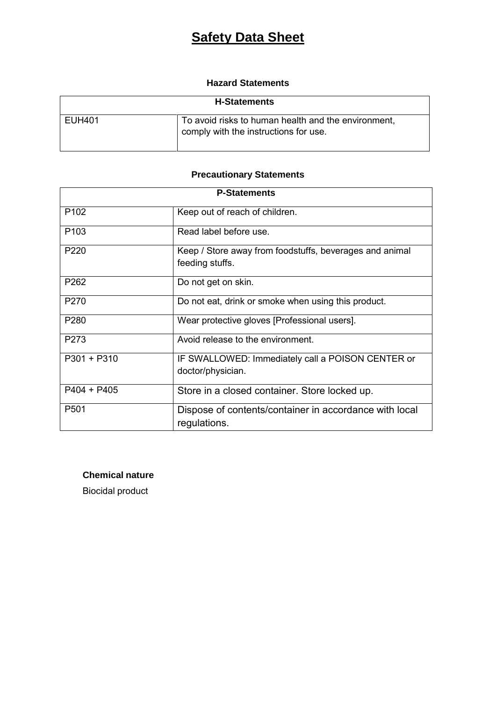## **Hazard Statements**

| <b>H-Statements</b> |                                                                                              |
|---------------------|----------------------------------------------------------------------------------------------|
| EUH401              | To avoid risks to human health and the environment,<br>comply with the instructions for use. |

## **Precautionary Statements**

| <b>P-Statements</b> |                                                                            |  |
|---------------------|----------------------------------------------------------------------------|--|
| P <sub>102</sub>    | Keep out of reach of children.                                             |  |
| P <sub>103</sub>    | Read label before use.                                                     |  |
| P <sub>220</sub>    | Keep / Store away from foodstuffs, beverages and animal<br>feeding stuffs. |  |
| P <sub>262</sub>    | Do not get on skin.                                                        |  |
| P <sub>270</sub>    | Do not eat, drink or smoke when using this product.                        |  |
| P280                | Wear protective gloves [Professional users].                               |  |
| P273                | Avoid release to the environment.                                          |  |
| $P301 + P310$       | IF SWALLOWED: Immediately call a POISON CENTER or<br>doctor/physician.     |  |
| $P404 + P405$       | Store in a closed container. Store locked up.                              |  |
| P <sub>501</sub>    | Dispose of contents/container in accordance with local<br>regulations.     |  |

## **Chemical nature**

Biocidal product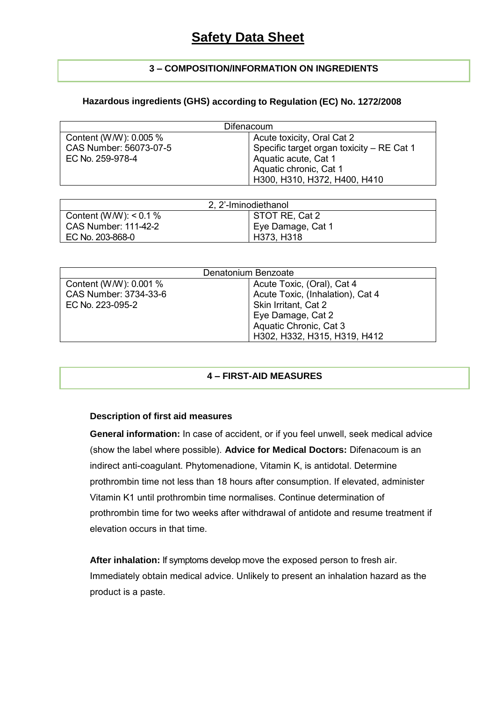## **3 – COMPOSITION/INFORMATION ON INGREDIENTS**

## **Hazardous ingredients (GHS) according to Regulation (EC) No. 1272/2008**

| Difenacoum             |                                           |  |  |
|------------------------|-------------------------------------------|--|--|
| Content (W/W): 0.005 % | Acute toxicity, Oral Cat 2                |  |  |
| CAS Number: 56073-07-5 | Specific target organ toxicity - RE Cat 1 |  |  |
| EC No. 259-978-4       | Aquatic acute, Cat 1                      |  |  |
|                        | Aquatic chronic, Cat 1                    |  |  |
|                        | H300, H310, H372, H400, H410              |  |  |

| 2, 2'-Iminodiethanol        |                   |  |  |  |
|-----------------------------|-------------------|--|--|--|
| Content (W/W): $< 0.1 \%$   | STOT RE, Cat 2    |  |  |  |
| <b>CAS Number: 111-42-2</b> | Eye Damage, Cat 1 |  |  |  |
| EC No. 203-868-0            | H373, H318        |  |  |  |

| Denatonium Benzoate    |                                  |  |  |  |
|------------------------|----------------------------------|--|--|--|
| Content (W/W): 0.001 % | Acute Toxic, (Oral), Cat 4       |  |  |  |
| CAS Number: 3734-33-6  | Acute Toxic, (Inhalation), Cat 4 |  |  |  |
| EC No. 223-095-2       | Skin Irritant, Cat 2             |  |  |  |
|                        | Eye Damage, Cat 2                |  |  |  |
|                        | Aquatic Chronic, Cat 3           |  |  |  |
|                        | H302, H332, H315, H319, H412     |  |  |  |

## **4 – FIRST-AID MEASURES**

## **Description of first aid measures**

**General information:** In case of accident, or if you feel unwell, seek medical advice (show the label where possible). **Advice for Medical Doctors:** Difenacoum is an indirect anti-coagulant. Phytomenadione, Vitamin K, is antidotal. Determine prothrombin time not less than 18 hours after consumption. If elevated, administer Vitamin K1 until prothrombin time normalises. Continue determination of prothrombin time for two weeks after withdrawal of antidote and resume treatment if elevation occurs in that time.

**After inhalation:** If symptoms develop move the exposed person to fresh air. Immediately obtain medical advice. Unlikely to present an inhalation hazard as the product is a paste.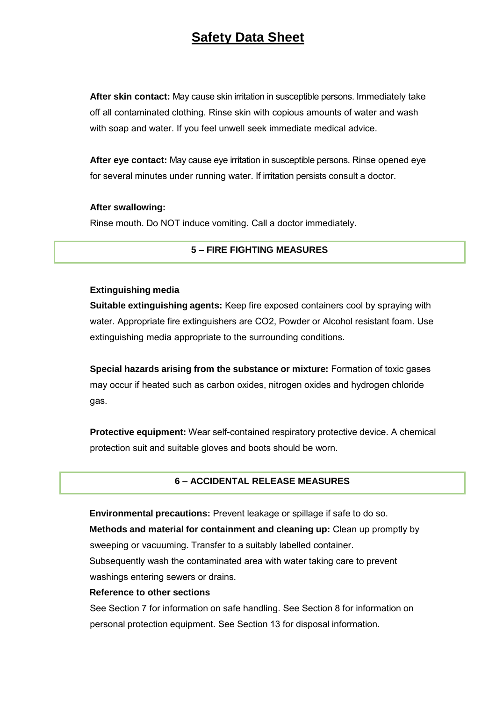**After skin contact:** May cause skin irritation in susceptible persons. Immediately take off all contaminated clothing. Rinse skin with copious amounts of water and wash with soap and water. If you feel unwell seek immediate medical advice.

**After eye contact:** May cause eye irritation in susceptible persons. Rinse opened eye for several minutes under running water. If irritation persists consult a doctor.

#### **After swallowing:**

Rinse mouth. Do NOT induce vomiting. Call a doctor immediately.

#### **5 – FIRE FIGHTING MEASURES**

#### **Extinguishing media**

**Suitable extinguishing agents:** Keep fire exposed containers cool by spraying with water. Appropriate fire extinguishers are CO2, Powder or Alcohol resistant foam. Use extinguishing media appropriate to the surrounding conditions.

**Special hazards arising from the substance or mixture:** Formation of toxic gases may occur if heated such as carbon oxides, nitrogen oxides and hydrogen chloride gas.

**Protective equipment:** Wear self-contained respiratory protective device. A chemical protection suit and suitable gloves and boots should be worn.

#### **6 – ACCIDENTAL RELEASE MEASURES**

**Environmental precautions:** Prevent leakage or spillage if safe to do so. **Methods and material for containment and cleaning up:** Clean up promptly by sweeping or vacuuming. Transfer to a suitably labelled container. Subsequently wash the contaminated area with water taking care to prevent washings entering sewers or drains.

#### **Reference to other sections**

See Section 7 for information on safe handling. See Section 8 for information on personal protection equipment. See Section 13 for disposal information.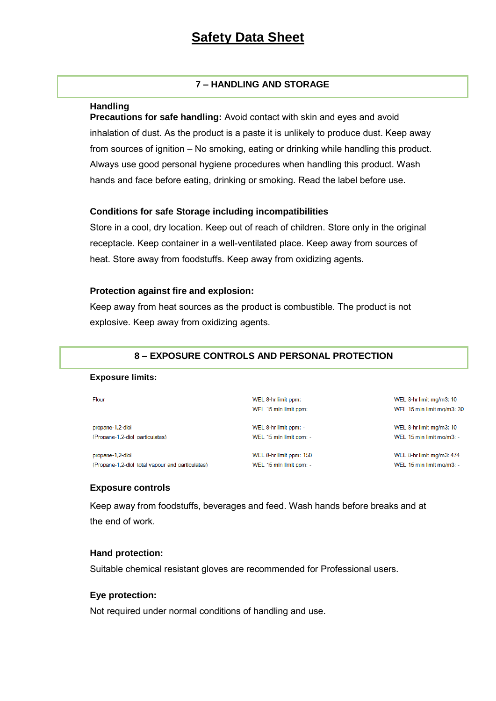#### **7 – HANDLING AND STORAGE**

#### **Handling**

**Precautions for safe handling:** Avoid contact with skin and eyes and avoid inhalation of dust. As the product is a paste it is unlikely to produce dust. Keep away from sources of ignition – No smoking, eating or drinking while handling this product. Always use good personal hygiene procedures when handling this product. Wash hands and face before eating, drinking or smoking. Read the label before use.

#### **Conditions for safe Storage including incompatibilities**

Store in a cool, dry location. Keep out of reach of children. Store only in the original receptacle. Keep container in a well-ventilated place. Keep away from sources of heat. Store away from foodstuffs. Keep away from oxidizing agents.

#### **Protection against fire and explosion:**

Keep away from heat sources as the product is combustible. The product is not explosive. Keep away from oxidizing agents.

#### **8 – EXPOSURE CONTROLS AND PERSONAL PROTECTION**

#### **Exposure limits:**

| Flour                                            | WEL 8-hr limit ppm:<br>WEL 15 min limit ppm: | WEL 8-hr limit mg/m3: 10<br>WEL 15 min limit ma/m3: 30 |
|--------------------------------------------------|----------------------------------------------|--------------------------------------------------------|
| propane-1,2-diol                                 | WEL 8-hr limit ppm: -                        | WEL 8-hr limit mg/m3: 10                               |
| (Propane-1,2-diol particulates)                  | WEL 15 min limit ppm: -                      | WEL 15 min limit mg/m3: -                              |
| propane-1,2-diol                                 | WEL 8-hr limit ppm: 150                      | WEL 8-hr limit mg/m3: 474                              |
| (Propane-1.2-diol total vapour and particulates) | WEL 15 min limit ppm: -                      | WEL 15 min limit mg/m3: -                              |

#### **Exposure controls**

Keep away from foodstuffs, beverages and feed. Wash hands before breaks and at the end of work.

## **Hand protection:**

Suitable chemical resistant gloves are recommended for Professional users.

#### **Eye protection:**

Not required under normal conditions of handling and use.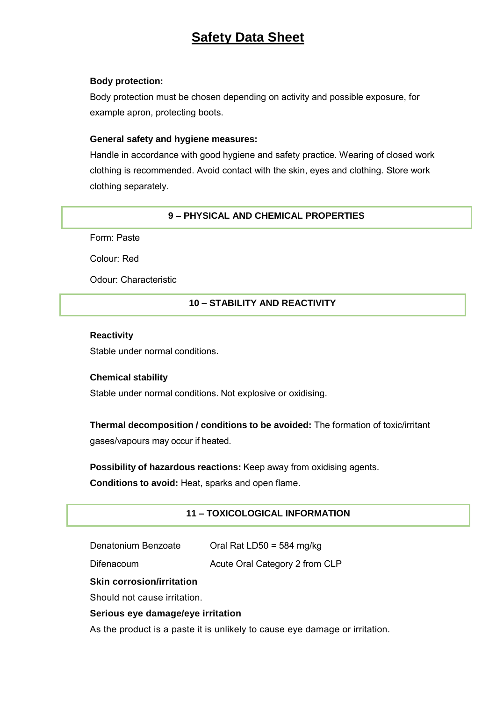#### **Body protection:**

Body protection must be chosen depending on activity and possible exposure, for example apron, protecting boots.

## **General safety and hygiene measures:**

Handle in accordance with good hygiene and safety practice. Wearing of closed work clothing is recommended. Avoid contact with the skin, eyes and clothing. Store work clothing separately.

## **9 – PHYSICAL AND CHEMICAL PROPERTIES**

Form: Paste

Colour: Red

Odour: Characteristic

## **10 – STABILITY AND REACTIVITY**

#### **Reactivity**

Stable under normal conditions.

## **Chemical stability**

Stable under normal conditions. Not explosive or oxidising.

**Thermal decomposition / conditions to be avoided:** The formation of toxic/irritant gases/vapours may occur if heated.

**Possibility of hazardous reactions:** Keep away from oxidising agents.

**Conditions to avoid:** Heat, sparks and open flame.

## **11 – TOXICOLOGICAL INFORMATION**

Denatonium Benzoate Oral Rat LD50 = 584 mg/kg

Difenacoum Acute Oral Category 2 from CLP

## **Skin corrosion/irritation**

Should not cause irritation.

## **Serious eye damage/eye irritation**

As the product is a paste it is unlikely to cause eye damage or irritation.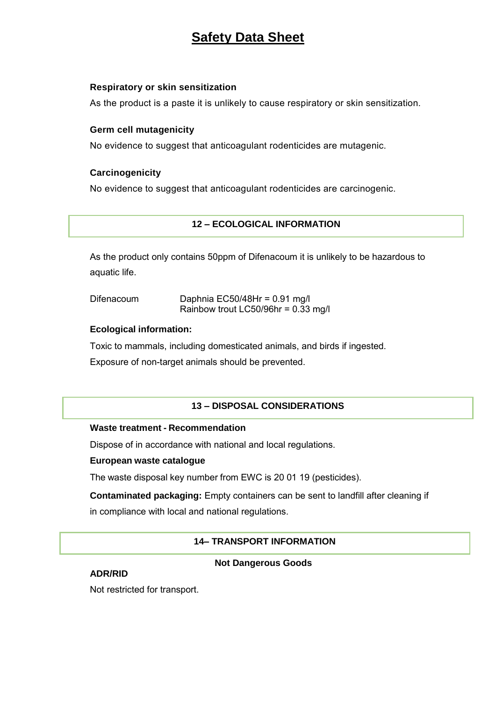#### **Respiratory or skin sensitization**

As the product is a paste it is unlikely to cause respiratory or skin sensitization.

#### **Germ cell mutagenicity**

No evidence to suggest that anticoagulant rodenticides are mutagenic.

## **Carcinogenicity**

No evidence to suggest that anticoagulant rodenticides are carcinogenic.

## **12 – ECOLOGICAL INFORMATION**

As the product only contains 50ppm of Difenacoum it is unlikely to be hazardous to aquatic life.

Difenacoum Daphnia EC50/48Hr = 0.91 mg/l Rainbow trout LC50/96hr = 0.33 mg/l

#### **Ecological information:**

Toxic to mammals, including domesticated animals, and birds if ingested.

Exposure of non-target animals should be prevented.

## **13 – DISPOSAL CONSIDERATIONS**

#### **Waste treatment - Recommendation**

Dispose of in accordance with national and local regulations.

#### **European waste catalogue**

The waste disposal key number from EWC is 20 01 19 (pesticides).

**Contaminated packaging:** Empty containers can be sent to landfill after cleaning if in compliance with local and national regulations.

## **14– TRANSPORT INFORMATION**

#### **Not Dangerous Goods**

#### **ADR/RID**

Not restricted for transport.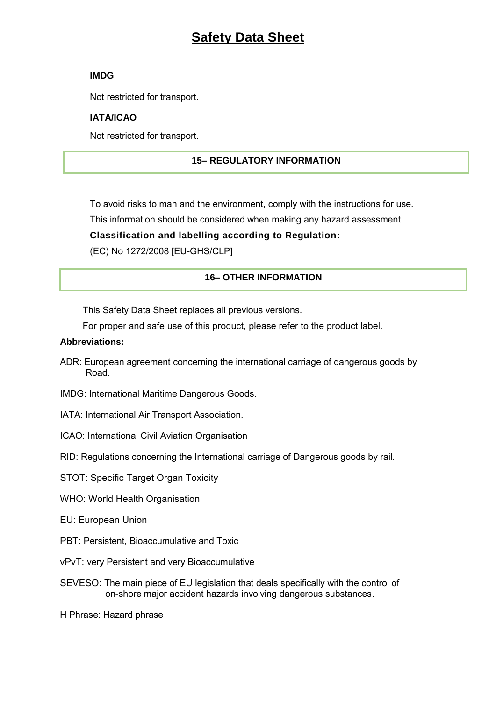#### **IMDG**

Not restricted for transport.

## **IATA/ICAO**

Not restricted for transport.

## **15– REGULATORY INFORMATION**

To avoid risks to man and the environment, comply with the instructions for use.

This information should be considered when making any hazard assessment.

**Classification and labelling according to Regulation:** 

(EC) No 1272/2008 [EU-GHS/CLP]

## **16– OTHER INFORMATION**

This Safety Data Sheet replaces all previous versions.

For proper and safe use of this product, please refer to the product label.

## **Abbreviations:**

- ADR: European agreement concerning the international carriage of dangerous goods by Road.
- IMDG: International Maritime Dangerous Goods.
- IATA: International Air Transport Association.
- ICAO: International Civil Aviation Organisation

RID: Regulations concerning the International carriage of Dangerous goods by rail.

STOT: Specific Target Organ Toxicity

- WHO: World Health Organisation
- EU: European Union
- PBT: Persistent, Bioaccumulative and Toxic
- vPvT: very Persistent and very Bioaccumulative
- SEVESO: The main piece of EU legislation that deals specifically with the control of on-shore major accident hazards involving dangerous substances.

H Phrase: Hazard phrase